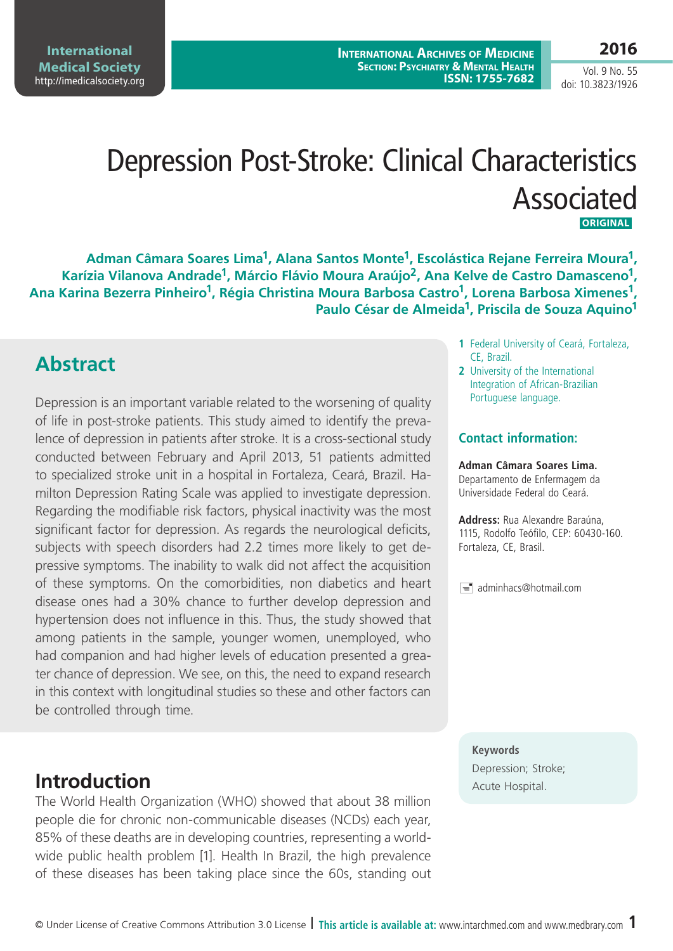**International Medical Society**  <http://imedicalsociety.org>

**International Archives of Medicine Section: Psychiatry & Mental Health ISSN: 1755-7682**

Vol. 9 No. 55 doi: 10.3823/1926

# Depression Post-Stroke: Clinical Characteristics Associated  **Original**

**Adman Câmara Soares Lima1, Alana Santos Monte1, Escolástica Rejane Ferreira Moura1,**  Karízia Vilanova Andrade<sup>1</sup>, Márcio Flávio Moura Araújo<sup>2</sup>, Ana Kelve de Castro Damasceno<sup>1</sup>, **Ana Karina Bezerra Pinheiro1, Régia Christina Moura Barbosa Castro1, Lorena Barbosa Ximenes1, Paulo César de Almeida1, Priscila de Souza Aquino1**

#### **Abstract**

Depression is an important variable related to the worsening of quality of life in post-stroke patients. This study aimed to identify the prevalence of depression in patients after stroke. It is a cross-sectional study conducted between February and April 2013, 51 patients admitted to specialized stroke unit in a hospital in Fortaleza, Ceará, Brazil. Hamilton Depression Rating Scale was applied to investigate depression. Regarding the modifiable risk factors, physical inactivity was the most significant factor for depression. As regards the neurological deficits, subjects with speech disorders had 2.2 times more likely to get depressive symptoms. The inability to walk did not affect the acquisition of these symptoms. On the comorbidities, non diabetics and heart disease ones had a 30% chance to further develop depression and hypertension does not influence in this. Thus, the study showed that among patients in the sample, younger women, unemployed, who had companion and had higher levels of education presented a greater chance of depression. We see, on this, the need to expand research in this context with longitudinal studies so these and other factors can be controlled through time.

#### **Introduction** Acute Hospital.

The World Health Organization (WHO) showed that about 38 million people die for chronic non-communicable diseases (NCDs) each year, 85% of these deaths are in developing countries, representing a worldwide public health problem [1]. Health In Brazil, the high prevalence of these diseases has been taking place since the 60s, standing out

- **1** Federal University of Ceará, Fortaleza, CE, Brazil.
- **2** University of the International Integration of African-Brazilian Portuguese language.

#### **Contact information:**

#### **Adman Câmara Soares Lima.**

Departamento de Enfermagem da Universidade Federal do Ceará.

**Address:** Rua Alexandre Baraúna, 1115, Rodolfo Teófilo, CEP: 60430-160. Fortaleza, CE, Brasil.

 $\equiv$  adminhacs@hotmail.com

**Keywords** Depression; Stroke;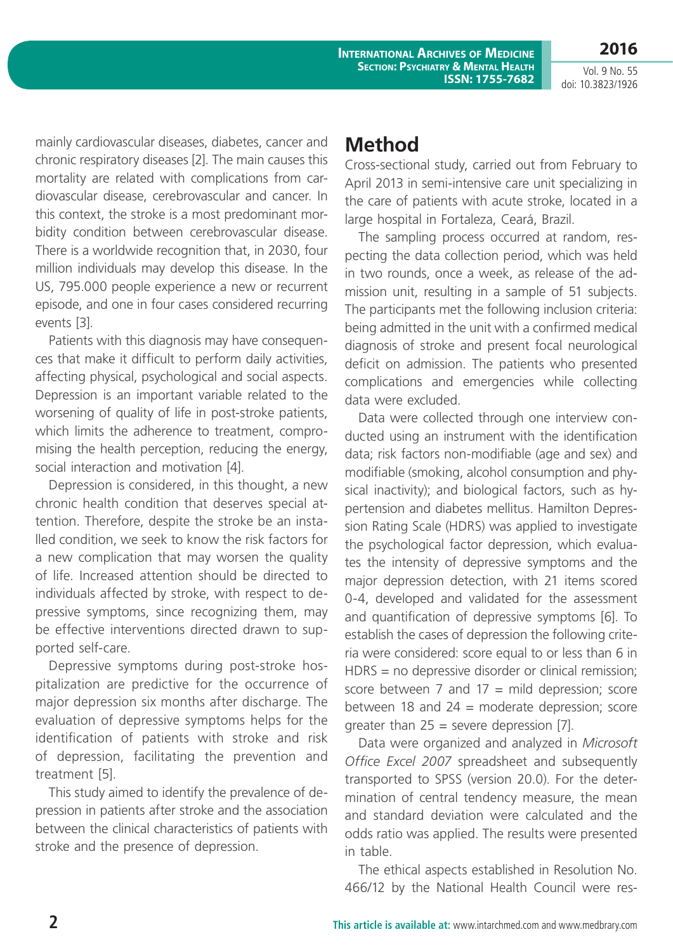**International Archives of Medicine Section: Psychiatry & Mental Health ISSN: 1755-7682**

Vol. 9 No. 55 doi: 10.3823/1926

**2016**

mainly cardiovascular diseases, diabetes, cancer and chronic respiratory diseases [2]. The main causes this mortality are related with complications from cardiovascular disease, cerebrovascular and cancer. In this context, the stroke is a most predominant morbidity condition between cerebrovascular disease. There is a worldwide recognition that, in 2030, four million individuals may develop this disease. In the US, 795.000 people experience a new or recurrent episode, and one in four cases considered recurring events [3].

Patients with this diagnosis may have consequences that make it difficult to perform daily activities, affecting physical, psychological and social aspects. Depression is an important variable related to the worsening of quality of life in post-stroke patients, which limits the adherence to treatment, compromising the health perception, reducing the energy, social interaction and motivation [4].

Depression is considered, in this thought, a new chronic health condition that deserves special attention. Therefore, despite the stroke be an installed condition, we seek to know the risk factors for a new complication that may worsen the quality of life. Increased attention should be directed to individuals affected by stroke, with respect to depressive symptoms, since recognizing them, may be effective interventions directed drawn to supported self-care.

Depressive symptoms during post-stroke hospitalization are predictive for the occurrence of major depression six months after discharge. The evaluation of depressive symptoms helps for the identification of patients with stroke and risk of depression, facilitating the prevention and treatment [5].

This study aimed to identify the prevalence of depression in patients after stroke and the association between the clinical characteristics of patients with stroke and the presence of depression.

#### **Method**

Cross-sectional study, carried out from February to April 2013 in semi-intensive care unit specializing in the care of patients with acute stroke, located in a large hospital in Fortaleza, Ceará, Brazil.

The sampling process occurred at random, respecting the data collection period, which was held in two rounds, once a week, as release of the admission unit, resulting in a sample of 51 subjects. The participants met the following inclusion criteria: being admitted in the unit with a confirmed medical diagnosis of stroke and present focal neurological deficit on admission. The patients who presented complications and emergencies while collecting data were excluded.

Data were collected through one interview conducted using an instrument with the identification data; risk factors non-modifiable (age and sex) and modifiable (smoking, alcohol consumption and physical inactivity); and biological factors, such as hypertension and diabetes mellitus. Hamilton Depression Rating Scale (HDRS) was applied to investigate the psychological factor depression, which evaluates the intensity of depressive symptoms and the major depression detection, with 21 items scored 0-4, developed and validated for the assessment and quantification of depressive symptoms [6]. To establish the cases of depression the following criteria were considered: score equal to or less than 6 in HDRS = no depressive disorder or clinical remission; score between  $7$  and  $17$  = mild depression; score between 18 and  $24 =$  moderate depression; score greater than  $25$  = severe depression [7].

Data were organized and analyzed in *Microsoft Office Excel 2007* spreadsheet and subsequently transported to SPSS (version 20.0). For the determination of central tendency measure, the mean and standard deviation were calculated and the odds ratio was applied. The results were presented in table.

The ethical aspects established in Resolution No. 466/12 by the National Health Council were res-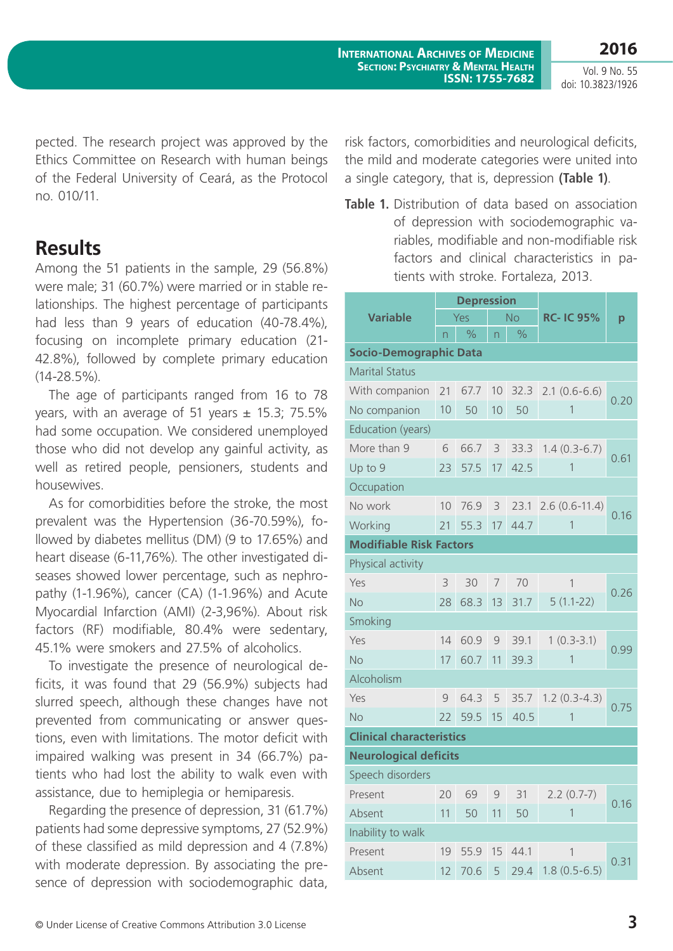Vol. 9 No. 55 doi: 10.3823/1926

pected. The research project was approved by the Ethics Committee on Research with human beings of the Federal University of Ceará, as the Protocol no. 010/11.

#### **Results**

Among the 51 patients in the sample, 29 (56.8%) were male; 31 (60.7%) were married or in stable relationships. The highest percentage of participants had less than 9 years of education (40-78.4%), focusing on incomplete primary education (21- 42.8%), followed by complete primary education (14-28.5%).

The age of participants ranged from 16 to 78 years, with an average of 51 years  $\pm$  15.3; 75.5% had some occupation. We considered unemployed those who did not develop any gainful activity, as well as retired people, pensioners, students and housewives.

As for comorbidities before the stroke, the most prevalent was the Hypertension (36-70.59%), followed by diabetes mellitus (DM) (9 to 17.65%) and heart disease (6-11,76%). The other investigated diseases showed lower percentage, such as nephropathy (1-1.96%), cancer (CA) (1-1.96%) and Acute Myocardial Infarction (AMI) (2-3,96%). About risk factors (RF) modifiable, 80.4% were sedentary, 45.1% were smokers and 27.5% of alcoholics.

To investigate the presence of neurological deficits, it was found that 29 (56.9%) subjects had slurred speech, although these changes have not prevented from communicating or answer questions, even with limitations. The motor deficit with impaired walking was present in 34 (66.7%) patients who had lost the ability to walk even with assistance, due to hemiplegia or hemiparesis.

Regarding the presence of depression, 31 (61.7%) patients had some depressive symptoms, 27 (52.9%) of these classified as mild depression and 4 (7.8%) with moderate depression. By associating the presence of depression with sociodemographic data, risk factors, comorbidities and neurological deficits, the mild and moderate categories were united into a single category, that is, depression **(Table 1)**.

**Table 1.** Distribution of data based on association of depression with sociodemographic variables, modifiable and non-modifiable risk factors and clinical characteristics in patients with stroke. Fortaleza, 2013.

| <b>Variable</b>                 | <b>Depression</b> |               |                |               |                  |      |  |  |  |  |  |
|---------------------------------|-------------------|---------------|----------------|---------------|------------------|------|--|--|--|--|--|
|                                 | Yes               |               | <b>No</b>      |               | <b>RC-IC 95%</b> | p    |  |  |  |  |  |
|                                 | n                 | $\frac{0}{0}$ | n              | $\frac{1}{2}$ |                  |      |  |  |  |  |  |
| <b>Socio-Demographic Data</b>   |                   |               |                |               |                  |      |  |  |  |  |  |
| <b>Marital Status</b>           |                   |               |                |               |                  |      |  |  |  |  |  |
| With companion                  | 21                | 67.7          | 10             | 32.3          | $2.1(0.6-6.6)$   | 0.20 |  |  |  |  |  |
| No companion                    | 10                | 50            | 10             | 50            | 1                |      |  |  |  |  |  |
| Education (years)               |                   |               |                |               |                  |      |  |  |  |  |  |
| More than 9                     | 6                 | 66.7          | 3              | 33.3          | $1.4(0.3-6.7)$   | 0.61 |  |  |  |  |  |
| Up to 9                         | 23                | 57.5          | 17             | 42.5          | 1                |      |  |  |  |  |  |
| Occupation                      |                   |               |                |               |                  |      |  |  |  |  |  |
| No work                         | 10                | 76.9          | 3              | 23.1          | $2.6(0.6-11.4)$  | 0.16 |  |  |  |  |  |
| Working                         | 21                | 55.3          | 17             | 44.7          | 1                |      |  |  |  |  |  |
| <b>Modifiable Risk Factors</b>  |                   |               |                |               |                  |      |  |  |  |  |  |
| Physical activity               |                   |               |                |               |                  |      |  |  |  |  |  |
| Yes                             | 3                 | 30            | 7              | 70            | 1                | 0.26 |  |  |  |  |  |
| <b>No</b>                       | 28                | 68.3          | 13             | 31.7          | $5(1.1-22)$      |      |  |  |  |  |  |
| Smoking                         |                   |               |                |               |                  |      |  |  |  |  |  |
| Yes                             | 14                | 60.9          | 9              | 39.1          | $1(0.3-3.1)$     | 0.99 |  |  |  |  |  |
| <b>No</b>                       | 17                | 60.7          | 11             | 39.3          | 1                |      |  |  |  |  |  |
| Alcoholism                      |                   |               |                |               |                  |      |  |  |  |  |  |
| Yes                             | 9                 | 64.3          | 5              | 35.7          | $1.2(0.3-4.3)$   | 0.75 |  |  |  |  |  |
| <b>No</b>                       | 22                | 59.5          | 15             | 40.5          | 1                |      |  |  |  |  |  |
| <b>Clinical characteristics</b> |                   |               |                |               |                  |      |  |  |  |  |  |
| <b>Neurological deficits</b>    |                   |               |                |               |                  |      |  |  |  |  |  |
| Speech disorders                |                   |               |                |               |                  |      |  |  |  |  |  |
| <b>Present</b>                  |                   | 20 69         | 9 <sup>1</sup> | 31            | $2.2(0.7-7)$     | 0.16 |  |  |  |  |  |
| Absent                          | 11                | 50            | 11             | 50            | 1                |      |  |  |  |  |  |
| Inability to walk               |                   |               |                |               |                  |      |  |  |  |  |  |
| Present                         | 19                | 55.9          | 15             | 44.1          | 1                | 0.31 |  |  |  |  |  |
| Absent                          | 12                | 70.6          | 5              | 29.4          | $1.8(0.5-6.5)$   |      |  |  |  |  |  |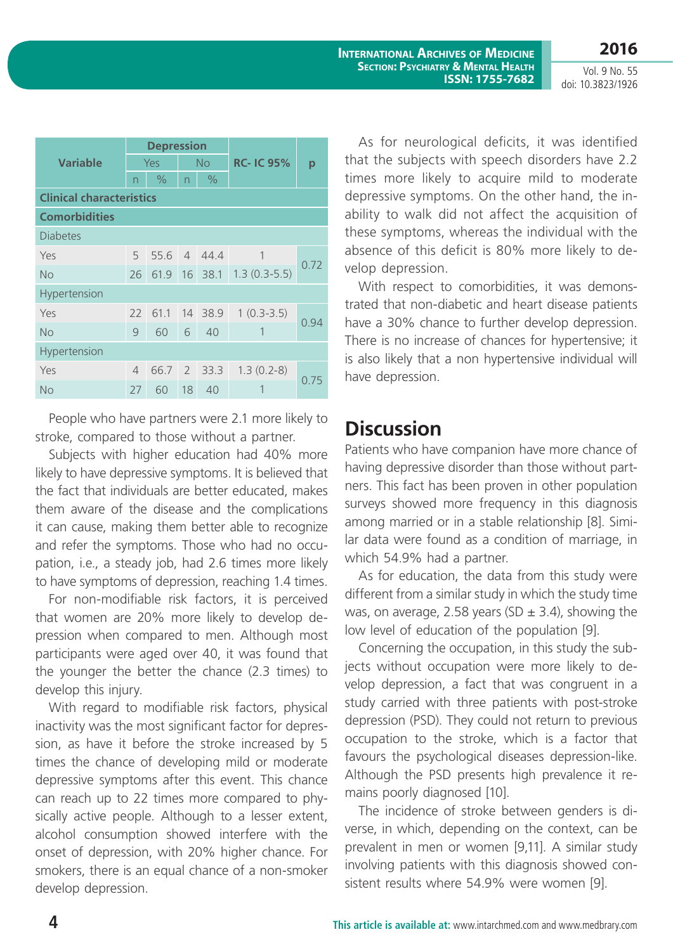doi: 10.3823/1926

| <b>Variable</b>                 | <b>Depression</b> |               |                |              |                  |         |  |  |  |  |
|---------------------------------|-------------------|---------------|----------------|--------------|------------------|---------|--|--|--|--|
|                                 | Yes               |               | <b>No</b>      |              | <b>RC-IC 95%</b> | р       |  |  |  |  |
|                                 | n                 | $\frac{0}{0}$ | n              | $\%$         |                  |         |  |  |  |  |
| <b>Clinical characteristics</b> |                   |               |                |              |                  |         |  |  |  |  |
| <b>Comorbidities</b>            |                   |               |                |              |                  |         |  |  |  |  |
| <b>Diabetes</b>                 |                   |               |                |              |                  |         |  |  |  |  |
| Yes                             | 5                 | 55.6          | $\overline{4}$ | 44.4         | 1                | 0.72    |  |  |  |  |
| <b>No</b>                       | 26                |               |                | 61.9 16 38.1 | $1.3(0.3-5.5)$   |         |  |  |  |  |
| Hypertension                    |                   |               |                |              |                  |         |  |  |  |  |
| Yes                             | 22                | 61.1          |                | 14 38.9      | $1(0.3-3.5)$     | 0.94    |  |  |  |  |
| <b>No</b>                       | 9                 | 60            | 6              | 40           |                  |         |  |  |  |  |
| Hypertension                    |                   |               |                |              |                  |         |  |  |  |  |
| Yes                             | $\overline{4}$    | 66.7          |                | 2 33.3       | $1.3(0.2-8)$     | $()$ /5 |  |  |  |  |
| <b>No</b>                       | 27                | 60            | 18             | 40           |                  |         |  |  |  |  |

People who have partners were 2.1 more likely to stroke, compared to those without a partner.

Subjects with higher education had 40% more likely to have depressive symptoms. It is believed that the fact that individuals are better educated, makes them aware of the disease and the complications it can cause, making them better able to recognize and refer the symptoms. Those who had no occupation, i.e., a steady job, had 2.6 times more likely to have symptoms of depression, reaching 1.4 times.

For non-modifiable risk factors, it is perceived that women are 20% more likely to develop depression when compared to men. Although most participants were aged over 40, it was found that the younger the better the chance (2.3 times) to develop this injury.

With regard to modifiable risk factors, physical inactivity was the most significant factor for depression, as have it before the stroke increased by 5 times the chance of developing mild or moderate depressive symptoms after this event. This chance can reach up to 22 times more compared to physically active people. Although to a lesser extent, alcohol consumption showed interfere with the onset of depression, with 20% higher chance. For smokers, there is an equal chance of a non-smoker develop depression.

As for neurological deficits, it was identified that the subjects with speech disorders have 2.2 times more likely to acquire mild to moderate depressive symptoms. On the other hand, the inability to walk did not affect the acquisition of these symptoms, whereas the individual with the absence of this deficit is 80% more likely to develop depression.

With respect to comorbidities, it was demonstrated that non-diabetic and heart disease patients have a 30% chance to further develop depression. There is no increase of chances for hypertensive; it is also likely that a non hypertensive individual will have depression.

#### **Discussion**

Patients who have companion have more chance of having depressive disorder than those without partners. This fact has been proven in other population surveys showed more frequency in this diagnosis among married or in a stable relationship [8]. Similar data were found as a condition of marriage, in which 54.9% had a partner.

As for education, the data from this study were different from a similar study in which the study time was, on average, 2.58 years (SD  $\pm$  3.4), showing the low level of education of the population [9].

Concerning the occupation, in this study the subjects without occupation were more likely to develop depression, a fact that was congruent in a study carried with three patients with post-stroke depression (PSD). They could not return to previous occupation to the stroke, which is a factor that favours the psychological diseases depression-like. Although the PSD presents high prevalence it remains poorly diagnosed [10].

The incidence of stroke between genders is diverse, in which, depending on the context, can be prevalent in men or women [9,11]. A similar study involving patients with this diagnosis showed consistent results where 54.9% were women [9].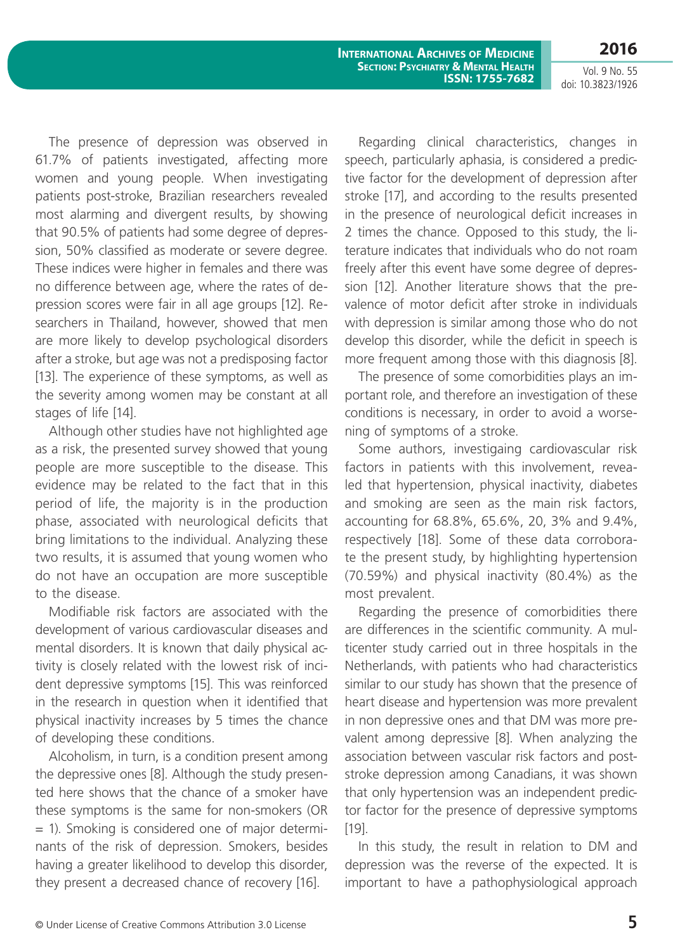**2016**

Vol. 9 No. 55 doi: 10.3823/1926

The presence of depression was observed in 61.7% of patients investigated, affecting more women and young people. When investigating patients post-stroke, Brazilian researchers revealed most alarming and divergent results, by showing that 90.5% of patients had some degree of depression, 50% classified as moderate or severe degree. These indices were higher in females and there was no difference between age, where the rates of depression scores were fair in all age groups [12]. Researchers in Thailand, however, showed that men are more likely to develop psychological disorders after a stroke, but age was not a predisposing factor [13]. The experience of these symptoms, as well as the severity among women may be constant at all stages of life [14].

Although other studies have not highlighted age as a risk, the presented survey showed that young people are more susceptible to the disease. This evidence may be related to the fact that in this period of life, the majority is in the production phase, associated with neurological deficits that bring limitations to the individual. Analyzing these two results, it is assumed that young women who do not have an occupation are more susceptible to the disease.

Modifiable risk factors are associated with the development of various cardiovascular diseases and mental disorders. It is known that daily physical activity is closely related with the lowest risk of incident depressive symptoms [15]. This was reinforced in the research in question when it identified that physical inactivity increases by 5 times the chance of developing these conditions.

Alcoholism, in turn, is a condition present among the depressive ones [8]. Although the study presented here shows that the chance of a smoker have these symptoms is the same for non-smokers (OR = 1). Smoking is considered one of major determinants of the risk of depression. Smokers, besides having a greater likelihood to develop this disorder, they present a decreased chance of recovery [16].

Regarding clinical characteristics, changes in speech, particularly aphasia, is considered a predictive factor for the development of depression after stroke [17], and according to the results presented in the presence of neurological deficit increases in 2 times the chance. Opposed to this study, the literature indicates that individuals who do not roam freely after this event have some degree of depression [12]. Another literature shows that the prevalence of motor deficit after stroke in individuals with depression is similar among those who do not develop this disorder, while the deficit in speech is more frequent among those with this diagnosis [8].

The presence of some comorbidities plays an important role, and therefore an investigation of these conditions is necessary, in order to avoid a worsening of symptoms of a stroke.

Some authors, investigaing cardiovascular risk factors in patients with this involvement, revealed that hypertension, physical inactivity, diabetes and smoking are seen as the main risk factors, accounting for 68.8%, 65.6%, 20, 3% and 9.4%, respectively [18]. Some of these data corroborate the present study, by highlighting hypertension (70.59%) and physical inactivity (80.4%) as the most prevalent.

Regarding the presence of comorbidities there are differences in the scientific community. A multicenter study carried out in three hospitals in the Netherlands, with patients who had characteristics similar to our study has shown that the presence of heart disease and hypertension was more prevalent in non depressive ones and that DM was more prevalent among depressive [8]. When analyzing the association between vascular risk factors and poststroke depression among Canadians, it was shown that only hypertension was an independent predictor factor for the presence of depressive symptoms [19].

In this study, the result in relation to DM and depression was the reverse of the expected. It is important to have a pathophysiological approach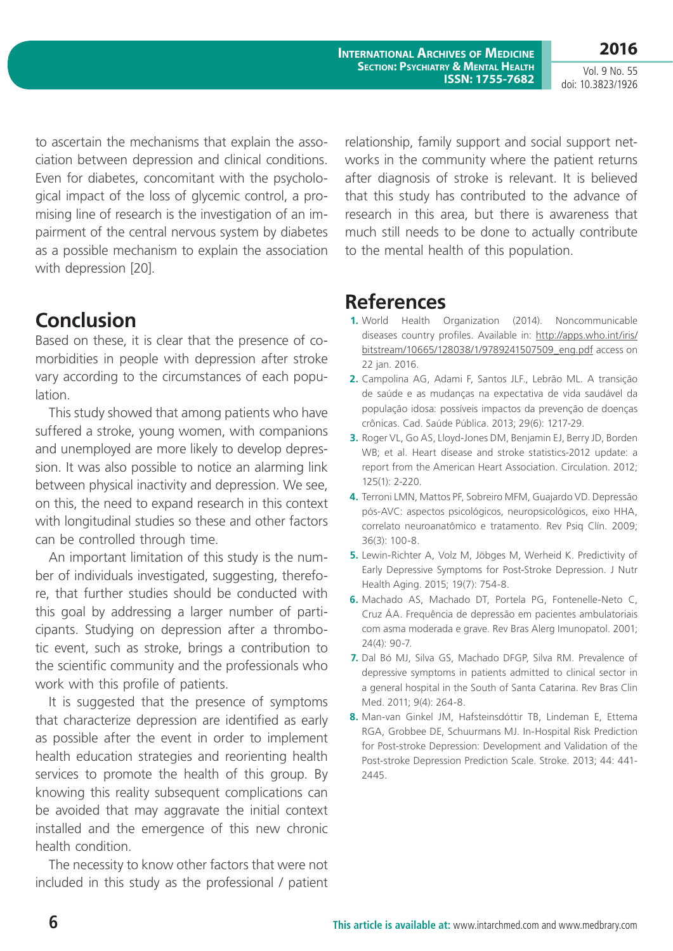**International Archives of Medicine Section: Psychiatry & Mental Health ISSN: 1755-7682**

Vol. 9 No. 55 doi: 10.3823/1926

**2016**

to ascertain the mechanisms that explain the association between depression and clinical conditions. Even for diabetes, concomitant with the psychological impact of the loss of glycemic control, a promising line of research is the investigation of an impairment of the central nervous system by diabetes as a possible mechanism to explain the association with depression [20].

## **Conclusion**

Based on these, it is clear that the presence of comorbidities in people with depression after stroke vary according to the circumstances of each population.

This study showed that among patients who have suffered a stroke, young women, with companions and unemployed are more likely to develop depression. It was also possible to notice an alarming link between physical inactivity and depression. We see, on this, the need to expand research in this context with longitudinal studies so these and other factors can be controlled through time.

An important limitation of this study is the number of individuals investigated, suggesting, therefore, that further studies should be conducted with this goal by addressing a larger number of participants. Studying on depression after a thrombotic event, such as stroke, brings a contribution to the scientific community and the professionals who work with this profile of patients.

It is suggested that the presence of symptoms that characterize depression are identified as early as possible after the event in order to implement health education strategies and reorienting health services to promote the health of this group. By knowing this reality subsequent complications can be avoided that may aggravate the initial context installed and the emergence of this new chronic health condition.

The necessity to know other factors that were not included in this study as the professional / patient relationship, family support and social support networks in the community where the patient returns after diagnosis of stroke is relevant. It is believed that this study has contributed to the advance of research in this area, but there is awareness that much still needs to be done to actually contribute to the mental health of this population.

## **References**

- **1.** World Health Organization (2014). Noncommunicable diseases country profiles. Available in: [http://apps.who.int/iris/](http://apps.who.int/iris/bitstream/10665/128038/1/9789241507509_eng.pdf) [bitstream/10665/128038/1/9789241507509\\_eng.pdf](http://apps.who.int/iris/bitstream/10665/128038/1/9789241507509_eng.pdf) access on 22 jan. 2016.
- **2.** Campolina AG, Adami F, Santos JLF., Lebrão ML. A transição de saúde e as mudanças na expectativa de vida saudável da população idosa: possíveis impactos da prevenção de doenças crônicas. Cad. Saúde Pública. 2013; 29(6): 1217-29.
- **3.** Roger VL, Go AS, Lloyd-Jones DM, Benjamin EJ, Berry JD, Borden WB; et al. Heart disease and stroke statistics-2012 update: a report from the American Heart Association. Circulation. 2012; 125(1): 2-220.
- **4.** Terroni LMN, Mattos PF, Sobreiro MFM, Guajardo VD. Depressão pós-AVC: aspectos psicológicos, neuropsicológicos, eixo HHA, correlato neuroanatômico e tratamento. Rev Psiq Clín. 2009; 36(3): 100-8.
- **5.** Lewin-Richter A, Volz M, Jöbges M, Werheid K. Predictivity of Early Depressive Symptoms for Post-Stroke Depression. J Nutr Health Aging. 2015; 19(7): 754-8.
- **6.** Machado AS, Machado DT, Portela PG, Fontenelle-Neto C, Cruz ÁA. Frequência de depressão em pacientes ambulatoriais com asma moderada e grave. Rev Bras Alerg Imunopatol. 2001; 24(4): 90-7.
- **7.** Dal Bó MJ, Silva GS, Machado DFGP, Silva RM. Prevalence of depressive symptoms in patients admitted to clinical sector in a general hospital in the South of Santa Catarina. Rev Bras Clin Med. 2011; 9(4): 264-8.
- **8.** Man-van Ginkel JM, Hafsteinsdóttir TB, Lindeman E, Ettema RGA, Grobbee DE, Schuurmans MJ. In-Hospital Risk Prediction for Post-stroke Depression: Development and Validation of the Post-stroke Depression Prediction Scale. Stroke. 2013; 44: 441- 2445.